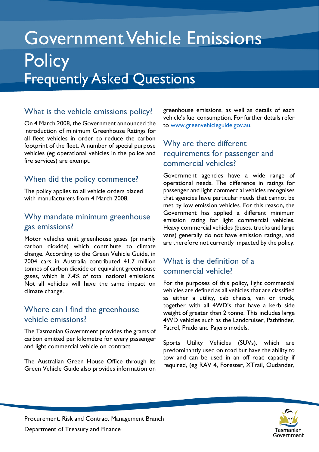# Government Vehicle Emissions **Policy** Frequently Asked Questions

## What is the vehicle emissions policy?

On 4 March 2008, the Government announced the introduction of minimum Greenhouse Ratings for all fleet vehicles in order to reduce the carbon footprint of the fleet. A number of special purpose vehicles (eg operational vehicles in the police and fire services) are exempt.

## When did the policy commence?

The policy applies to all vehicle orders placed with manufacturers from 4 March 2008.

#### Why mandate minimum greenhouse gas emissions?

Motor vehicles emit greenhouse gases (primarily carbon dioxide) which contribute to climate change. According to the Green Vehicle Guide, in 2004 cars in Australia contributed 41.7 million tonnes of carbon dioxide or equivalent greenhouse gases, which is 7.4% of total national emissions. Not all vehicles will have the same impact on climate change.

#### Where can I find the greenhouse vehicle emissions?

The Tasmanian Government provides the grams of carbon emitted per kilometre for every passenger and light commercial vehicle on contract.

The Australian Green House Office through its Green Vehicle Guide also provides information on greenhouse emissions, as well as details of each vehicle's fuel consumption. For further details refer to [www.greenvehicleguide.gov.au.](http://www.greenvehicleguide.gov.au/)

## Why are there different requirements for passenger and commercial vehicles?

Government agencies have a wide range of operational needs. The difference in ratings for passenger and light commercial vehicles recognises that agencies have particular needs that cannot be met by low emission vehicles. For this reason, the Government has applied a different minimum emission rating for light commercial vehicles. Heavy commercial vehicles (buses, trucks and large vans) generally do not have emission ratings, and are therefore not currently impacted by the policy.

## What is the definition of a commercial vehicle?

For the purposes of this policy, light commercial vehicles are defined as all vehicles that are classified as either a utility, cab chassis, van or truck, together with all 4WD's that have a kerb side weight of greater than 2 tonne. This includes large 4WD vehicles such as the Landcruiser, Pathfinder, Patrol, Prado and Pajero models.

Sports Utility Vehicles (SUVs), which are predominantly used on road but have the ability to tow and can be used in an off road capacity if required, (eg RAV 4, Forester, XTrail, Outlander,

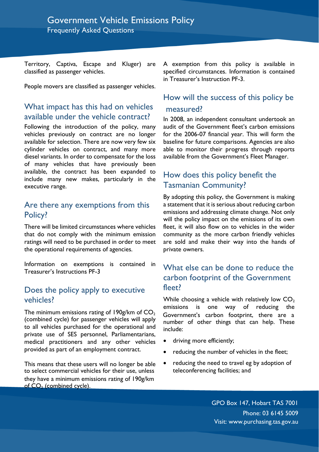Territory, Captiva, Escape and Kluger) are classified as passenger vehicles.

People movers are classified as passenger vehicles.

## What impact has this had on vehicles measured? available under the vehicle contract?

Following the introduction of the policy, many vehicles previously on contract are no longer available for selection. There are now very few six cylinder vehicles on contract, and many more diesel variants. In order to compensate for the loss of many vehicles that have previously been available, the contract has been expanded to include many new makes, particularly in the executive range.

#### Are there any exemptions from this Policy?

There will be limited circumstances where vehicles that do not comply with the minimum emission ratings will need to be purchased in order to meet the operational requirements of agencies.

Information on exemptions is contained in Treasurer's Instructions PF-3

#### Does the policy apply to executive vehicles?

The minimum emissions rating of 190g/km of  $CO<sub>2</sub>$  Government's carbon footprint, there are a (combined cycle) for passenger vehicles will apply number of other things that can beln. These to all vehicles purchased for the operational and private use of SES personnel, Parliamentarians, medical practitioners and any other vehicles provided as part of an employment contract.

This means that these users will no longer be able to select commercial vehicles for their use, unless they have a minimum emissions rating of 190g/km of CO<sub>2</sub> (combined cycle).

A exemption from this policy is available in specified circumstances. Information is contained in Treasurer's Instruction PF-3.

# How will the success of this policy be

In 2008, an independent consultant undertook an audit of the Government fleet's carbon emissions for the 2006-07 financial year. This will form the baseline for future comparisons. Agencies are also able to monitor their progress through reports available from the Government's Fleet Manager.

#### How does this policy benefit the Tasmanian Community?

By adopting this policy, the Government is making a statement that it is serious about reducing carbon emissions and addressing climate change. Not only will the policy impact on the emissions of its own fleet, it will also flow on to vehicles in the wider community as the more carbon friendly vehicles are sold and make their way into the hands of private owners.

### What else can be done to reduce the carbon footprint of the Government fleet?

While choosing a vehicle with relatively low  $CO<sub>2</sub>$ emissions is one way of reducing the number of other things that can help. These include:

- driving more efficiently;
- reducing the number of vehicles in the fleet;
- reducing the need to travel eg by adoption of teleconferencing facilities; and

GPO Box 147, Hobart TAS 7001 Phone: 03 6145 5009 Visit: www.purchasing.tas.gov.au